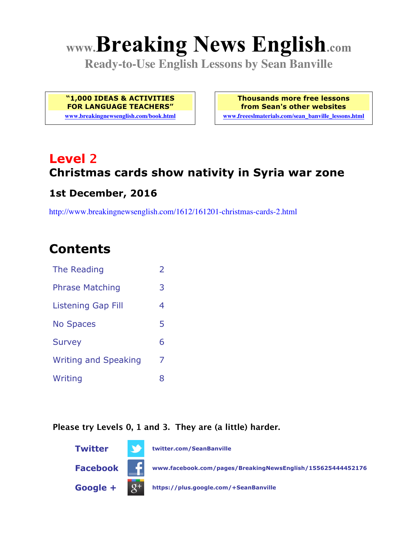# **www.Breaking News English.com**

**Ready-to-Use English Lessons by Sean Banville**

**"1,000 IDEAS & ACTIVITIES FOR LANGUAGE TEACHERS"**

**www.breakingnewsenglish.com/book.html**

**Thousands more free lessons from Sean's other websites www.freeeslmaterials.com/sean\_banville\_lessons.html**

# **Level 2 Christmas cards show nativity in Syria war zone**

#### **1st December, 2016**

http://www.breakingnewsenglish.com/1612/161201-christmas-cards-2.html

### **Contents**

| The Reading                 | $\overline{2}$ |
|-----------------------------|----------------|
| <b>Phrase Matching</b>      | 3              |
| <b>Listening Gap Fill</b>   | 4              |
| <b>No Spaces</b>            | 5              |
| <b>Survey</b>               | 6              |
| <b>Writing and Speaking</b> | 7              |
| Writing                     | 8              |

**Please try Levels 0, 1 and 3. They are (a little) harder.**

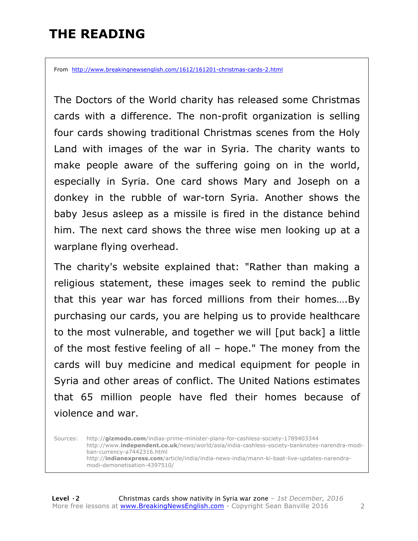# **THE READING**

From http://www.breakingnewsenglish.com/1612/161201-christmas-cards-2.html

The Doctors of the World charity has released some Christmas cards with a difference. The non-profit organization is selling four cards showing traditional Christmas scenes from the Holy Land with images of the war in Syria. The charity wants to make people aware of the suffering going on in the world, especially in Syria. One card shows Mary and Joseph on a donkey in the rubble of war-torn Syria. Another shows the baby Jesus asleep as a missile is fired in the distance behind him. The next card shows the three wise men looking up at a warplane flying overhead.

The charity's website explained that: "Rather than making a religious statement, these images seek to remind the public that this year war has forced millions from their homes….By purchasing our cards, you are helping us to provide healthcare to the most vulnerable, and together we will [put back] a little of the most festive feeling of all – hope." The money from the cards will buy medicine and medical equipment for people in Syria and other areas of conflict. The United Nations estimates that 65 million people have fled their homes because of violence and war.

Sources: http://**gizmodo.com**/indias-prime-minister-plans-for-cashless-society-1789403344 http://www.**independent.co.uk**/news/world/asia/india-cashless-society-banknotes-narendra-modiban-currency-a7442316.html http://**indianexpress.com**/article/india/india-news-india/mann-ki-baat-live-updates-narendramodi-demonetisation-4397510/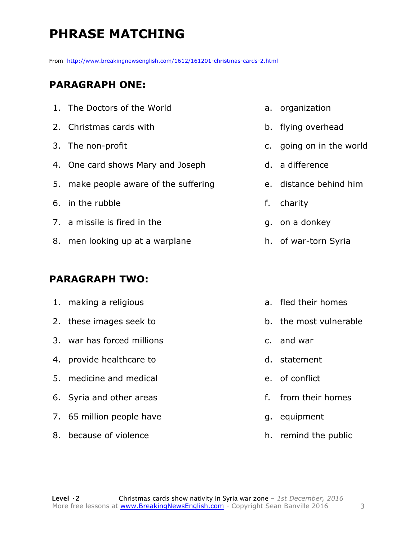# **PHRASE MATCHING**

From http://www.breakingnewsenglish.com/1612/161201-christmas-cards-2.html

#### **PARAGRAPH ONE:**

| 1. The Doctors of the World           | a. organizati |
|---------------------------------------|---------------|
| 2. Christmas cards with               | b. flying ove |
| 3. The non-profit                     | c. going on i |
| 4. One card shows Mary and Joseph     | d. a differen |
| 5. make people aware of the suffering | e. distance b |
| 6. in the rubble                      | f. charity    |
| 7. a missile is fired in the          | q. on a donk  |
| 8. men looking up at a warplane       | h. of war-tor |
|                                       |               |

#### **PARAGRAPH TWO:**

| 1. making a religious      | a. fled their homes    |
|----------------------------|------------------------|
| 2. these images seek to    | b. the most vulnerable |
| 3. war has forced millions | c. and war             |
| 4. provide healthcare to   | d. statement           |
| 5. medicine and medical    | e. of conflict         |
| 6. Syria and other areas   | f. from their homes    |
| 7. 65 million people have  | g. equipment           |
| 8. because of violence     | h. remind the public   |

#### ion

- rhead
- in the world
- $ce$
- behind him
- ey)
- rn Syria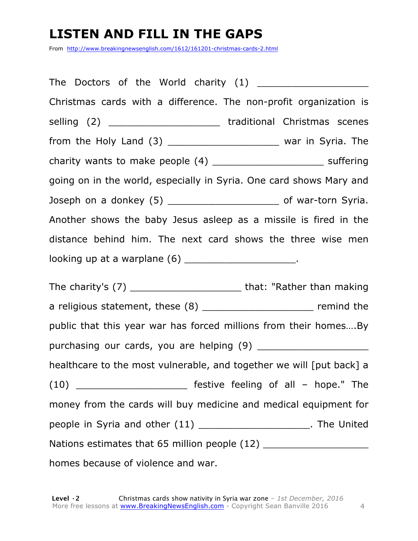# **LISTEN AND FILL IN THE GAPS**

From http://www.breakingnewsenglish.com/1612/161201-christmas-cards-2.html

The Doctors of the World charity (1) Christmas cards with a difference. The non-profit organization is selling (2) \_\_\_\_\_\_\_\_\_\_\_\_\_\_\_\_\_\_\_\_\_\_\_\_ traditional Christmas scenes from the Holy Land  $(3)$  \_\_\_\_\_\_\_\_\_\_\_\_\_\_\_\_\_\_\_\_\_\_\_\_\_ war in Syria. The charity wants to make people  $(4)$  \_\_\_\_\_\_\_\_\_\_\_\_\_\_\_\_\_\_\_\_\_\_\_\_\_\_\_\_\_ suffering going on in the world, especially in Syria. One card shows Mary and Joseph on a donkey (5) \_\_\_\_\_\_\_\_\_\_\_\_\_\_\_\_\_\_\_ of war-torn Syria. Another shows the baby Jesus asleep as a missile is fired in the distance behind him. The next card shows the three wise men looking up at a warplane (6) \_\_\_\_\_\_\_\_\_\_\_\_\_\_\_\_\_\_\_\_\_\_. The charity's (7) \_\_\_\_\_\_\_\_\_\_\_\_\_\_\_\_\_\_\_ that: "Rather than making a religious statement, these (8) example 1 and the remind the public that this year war has forced millions from their homes….By purchasing our cards, you are helping (9) healthcare to the most vulnerable, and together we will [put back] a (10) **Example 10** Festive feeling of all – hope." The money from the cards will buy medicine and medical equipment for people in Syria and other (11) \_\_\_\_\_\_\_\_\_\_\_\_\_\_\_\_\_\_\_. The United Nations estimates that 65 million people (12) homes because of violence and war.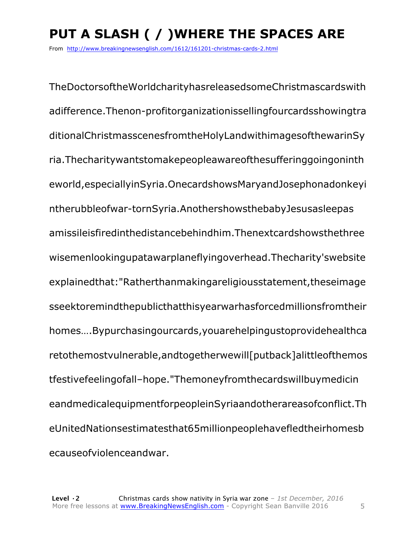# **PUT A SLASH ( / )WHERE THE SPACES ARE**

From http://www.breakingnewsenglish.com/1612/161201-christmas-cards-2.html

TheDoctorsoftheWorldcharityhasreleasedsomeChristmascardswith adifference.Thenon-profitorganizationissellingfourcardsshowingtra ditionalChristmasscenesfromtheHolyLandwithimagesofthewarinSy ria.Thecharitywantstomakepeopleawareofthesufferinggoingoninth eworld,especiallyinSyria.OnecardshowsMaryandJosephonadonkeyi ntherubbleofwar-tornSyria.AnothershowsthebabyJesusasleepas amissileisfiredinthedistancebehindhim.Thenextcardshowsthethree wisemenlookingupatawarplaneflyingoverhead.Thecharity'swebsite explainedthat:"Ratherthanmakingareligiousstatement,theseimage sseektoremindthepublicthatthisyearwarhasforcedmillionsfromtheir homes….Bypurchasingourcards,youarehelpingustoprovidehealthca retothemostvulnerable,andtogetherwewill[putback]alittleofthemos tfestivefeelingofall–hope."Themoneyfromthecardswillbuymedicin eandmedicalequipmentforpeopleinSyriaandotherareasofconflict.Th eUnitedNationsestimatesthat65millionpeoplehavefledtheirhomesb ecauseofviolenceandwar.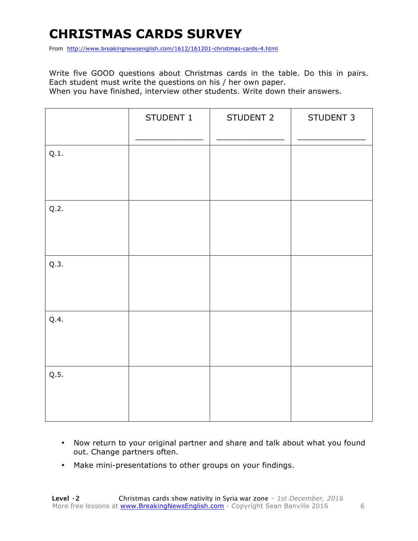# **CHRISTMAS CARDS SURVEY**

From http://www.breakingnewsenglish.com/1612/161201-christmas-cards-4.html

Write five GOOD questions about Christmas cards in the table. Do this in pairs. Each student must write the questions on his / her own paper. When you have finished, interview other students. Write down their answers.

|      | STUDENT 1 | STUDENT 2 | STUDENT 3 |
|------|-----------|-----------|-----------|
| Q.1. |           |           |           |
| Q.2. |           |           |           |
| Q.3. |           |           |           |
| Q.4. |           |           |           |
| Q.5. |           |           |           |

- Now return to your original partner and share and talk about what you found out. Change partners often.
- Make mini-presentations to other groups on your findings.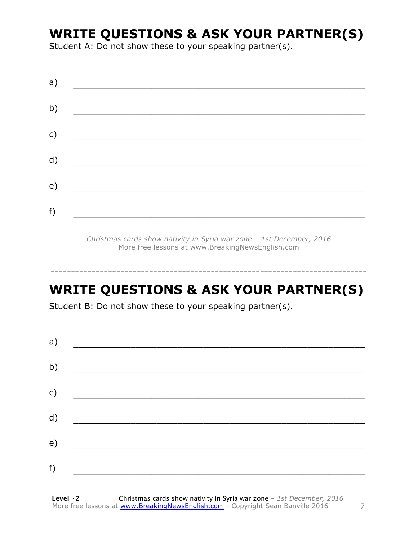### **WRITE QUESTIONS & ASK YOUR PARTNER(S)**

Student A: Do not show these to your speaking partner(s).

| a)           |  |  |
|--------------|--|--|
| b)           |  |  |
| $\mathsf{C}$ |  |  |
| d)           |  |  |
| e)           |  |  |
| f)           |  |  |
|              |  |  |

*Christmas cards show nativity in Syria war zone – 1st December, 2016* More free lessons at www.BreakingNewsEnglish.com

# **WRITE QUESTIONS & ASK YOUR PARTNER(S)**

-----------------------------------------------------------------------------

Student B: Do not show these to your speaking partner(s).

| a) |  |  |
|----|--|--|
| b) |  |  |
| c) |  |  |
| d) |  |  |
| e) |  |  |
| f) |  |  |
|    |  |  |